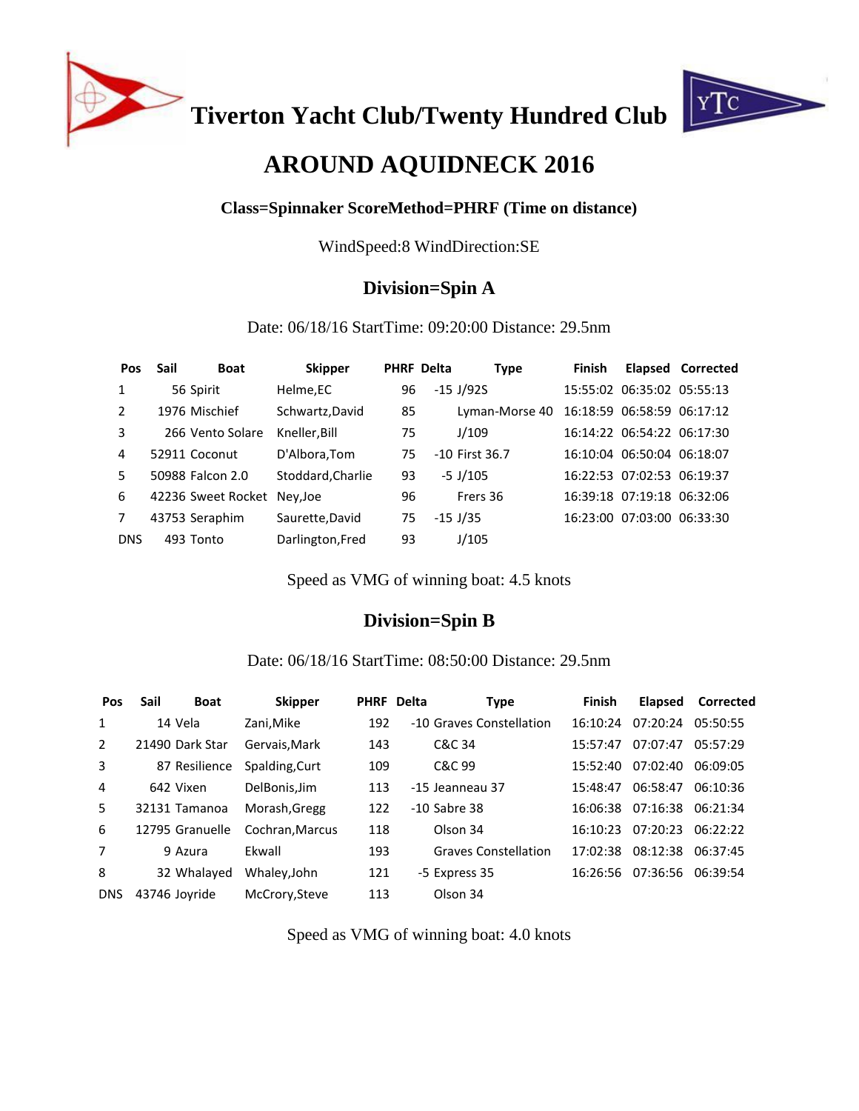

**Tiverton Yacht Club/Twenty Hundred Club**



# **AROUND AQUIDNECK 2016**

### **Class=Spinnaker ScoreMethod=PHRF (Time on distance)**

WindSpeed:8 WindDirection:SE

## **Division=Spin A**

#### Date: 06/18/16 StartTime: 09:20:00 Distance: 29.5nm

| <b>Pos</b>    | Sail | <b>Boat</b>                 | <b>Skipper</b>    |    | <b>PHRF Delta</b> | <b>Type</b>    | Finish |                            | Elapsed Corrected |
|---------------|------|-----------------------------|-------------------|----|-------------------|----------------|--------|----------------------------|-------------------|
| 1             |      | 56 Spirit                   | Helme,EC          | 96 |                   | $-15$ J/92S    |        | 15:55:02 06:35:02 05:55:13 |                   |
| $\mathcal{L}$ |      | 1976 Mischief               | Schwartz, David   | 85 |                   | Lyman-Morse 40 |        | 16:18:59 06:58:59 06:17:12 |                   |
| 3             |      | 266 Vento Solare            | Kneller, Bill     | 75 |                   | J/109          |        | 16:14:22 06:54:22 06:17:30 |                   |
| 4             |      | 52911 Coconut               | D'Albora, Tom     | 75 |                   | -10 First 36.7 |        | 16:10:04 06:50:04 06:18:07 |                   |
| 5.            |      | 50988 Falcon 2.0            | Stoddard, Charlie | 93 |                   | $-5$ J/105     |        | 16:22:53 07:02:53 06:19:37 |                   |
| 6             |      | 42236 Sweet Rocket Ney, Joe |                   | 96 |                   | Frers 36       |        | 16:39:18 07:19:18 06:32:06 |                   |
| 7             |      | 43753 Seraphim              | Saurette, David   | 75 |                   | $-15$ J/35     |        | 16:23:00 07:03:00 06:33:30 |                   |
| <b>DNS</b>    |      | 493 Tonto                   | Darlington, Fred  | 93 |                   | J/105          |        |                            |                   |

Speed as VMG of winning boat: 4.5 knots

## **Division=Spin B**

#### Date: 06/18/16 StartTime: 08:50:00 Distance: 29.5nm

| Pos        | Sail            | <b>Boat</b> | <b>Skipper</b>  | PHRF Delta | Type                        | <b>Finish</b> | Elapsed  | Corrected |
|------------|-----------------|-------------|-----------------|------------|-----------------------------|---------------|----------|-----------|
| 1          | 14 Vela         |             | Zani, Mike      | 192        | -10 Graves Constellation    | 16:10:24      | 07:20:24 | 05:50:55  |
| 2          | 21490 Dark Star |             | Gervais.Mark    | 143        | C&C 34                      | 15:57:47      | 07:07:47 | 05:57:29  |
| 3          | 87 Resilience   |             | Spalding, Curt  | 109        | C&C 99                      | 15:52:40      | 07:02:40 | 06:09:05  |
| 4          | 642 Vixen       |             | DelBonis.Jim    | 113        | -15 Jeanneau 37             | 15:48:47      | 06:58:47 | 06:10:36  |
| 5          | 32131 Tamanoa   |             | Morash, Gregg   | 122        | $-10$ Sabre 38              | 16:06:38      | 07:16:38 | 06:21:34  |
| 6          | 12795 Granuelle |             | Cochran, Marcus | 118        | Olson 34                    | 16:10:23      | 07:20:23 | 06:22:22  |
| 7          | 9 Azura         |             | Fkwall          | 193        | <b>Graves Constellation</b> | 17:02:38      | 08:12:38 | 06:37:45  |
| 8          | 32 Whalayed     |             | Whaley, John    | 121        | -5 Express 35               | 16:26:56      | 07:36:56 | 06:39:54  |
| <b>DNS</b> | 43746 Joyride   |             | McCrory, Steve  | 113        | Olson 34                    |               |          |           |

Speed as VMG of winning boat: 4.0 knots